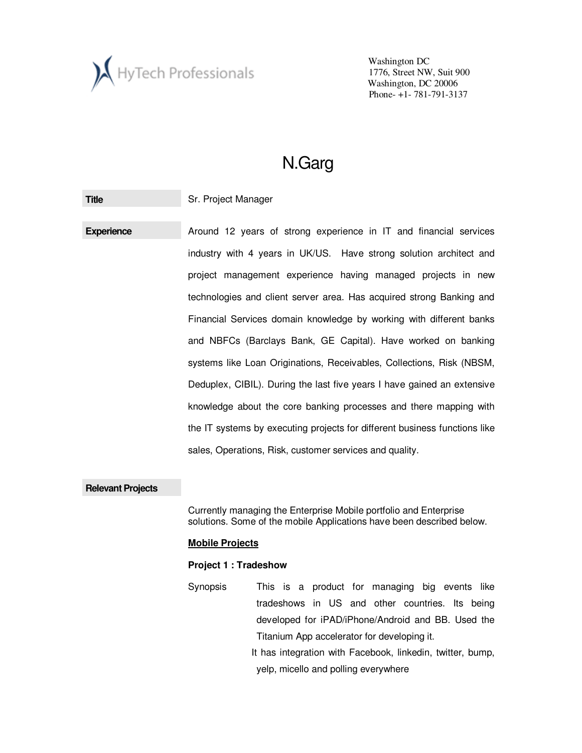

# N.Garg

**Title Sr. Project Manager** 

**Experience Around 12 years of strong experience in IT and financial services** industry with 4 years in UK/US. Have strong solution architect and project management experience having managed projects in new technologies and client server area. Has acquired strong Banking and Financial Services domain knowledge by working with different banks and NBFCs (Barclays Bank, GE Capital). Have worked on banking systems like Loan Originations, Receivables, Collections, Risk (NBSM, Deduplex, CIBIL). During the last five years I have gained an extensive knowledge about the core banking processes and there mapping with the IT systems by executing projects for different business functions like sales, Operations, Risk, customer services and quality.

#### **Relevant Projects**

Currently managing the Enterprise Mobile portfolio and Enterprise solutions. Some of the mobile Applications have been described below.

#### **Mobile Projects**

#### **Project 1 : Tradeshow**

Synopsis This is a product for managing big events like tradeshows in US and other countries. Its being developed for iPAD/iPhone/Android and BB. Used the Titanium App accelerator for developing it. It has integration with Facebook, linkedin, twitter, bump,

yelp, micello and polling everywhere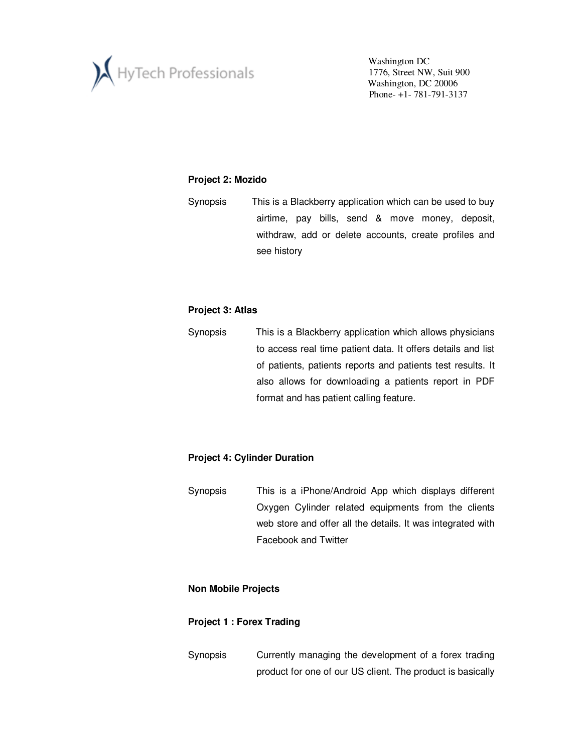

## **Project 2: Mozido**

Synopsis This is a Blackberry application which can be used to buy airtime, pay bills, send & move money, deposit, withdraw, add or delete accounts, create profiles and see history

## **Project 3: Atlas**

Synopsis This is a Blackberry application which allows physicians to access real time patient data. It offers details and list of patients, patients reports and patients test results. It also allows for downloading a patients report in PDF format and has patient calling feature.

# **Project 4: Cylinder Duration**

Synopsis This is a iPhone/Android App which displays different Oxygen Cylinder related equipments from the clients web store and offer all the details. It was integrated with Facebook and Twitter

## **Non Mobile Projects**

## **Project 1 : Forex Trading**

Synopsis Currently managing the development of a forex trading product for one of our US client. The product is basically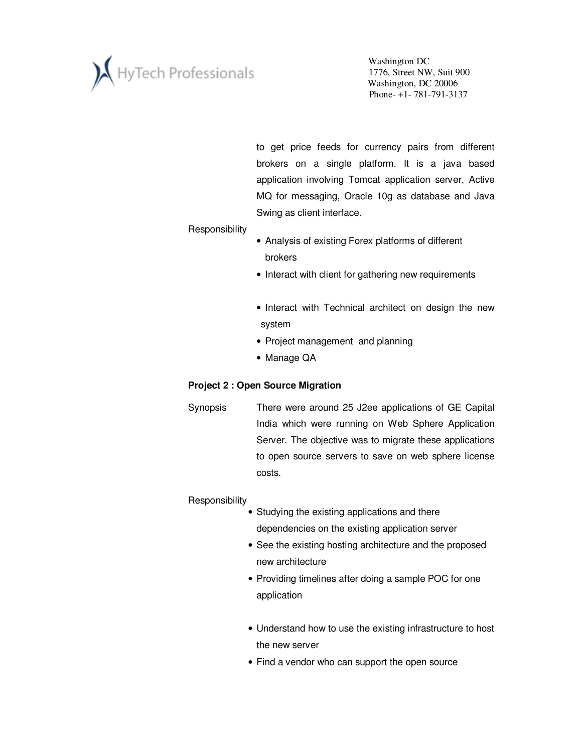

to get price feeds for currency pairs from different brokers on a single platform. It is a java based application involving Tomcat application server, Active MQ for messaging, Oracle 10g as database and Java Swing as client interface.

#### **Responsibility**

- Analysis of existing Forex platforms of different brokers
- Interact with client for gathering new requirements
- Interact with Technical architect on design the new system
- Project management and planning
- Manage QA

## **Project 2 : Open Source Migration**

Synopsis There were around 25 J2ee applications of GE Capital India which were running on Web Sphere Application Server. The objective was to migrate these applications to open source servers to save on web sphere license costs.

## **Responsibility**

- Studying the existing applications and there dependencies on the existing application server
	- See the existing hosting architecture and the proposed new architecture
	- Providing timelines after doing a sample POC for one application
	- Understand how to use the existing infrastructure to host the new server
	- Find a vendor who can support the open source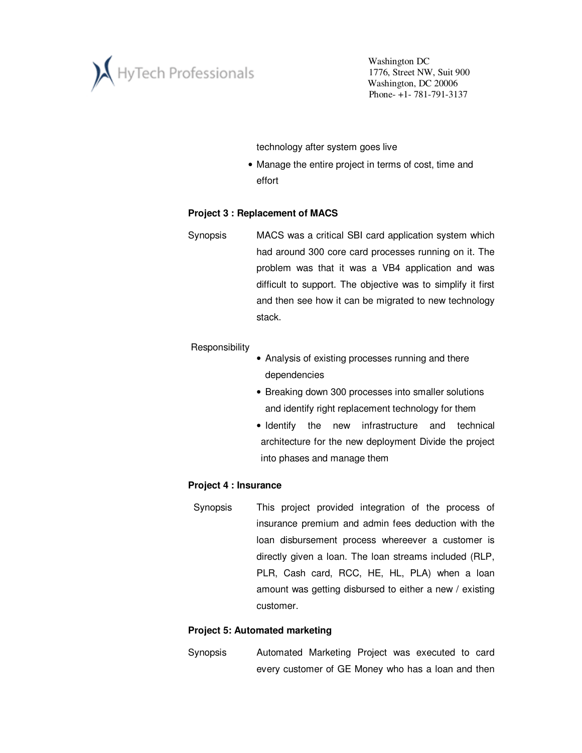

technology after system goes live

• Manage the entire project in terms of cost, time and effort

#### **Project 3 : Replacement of MACS**

Synopsis MACS was a critical SBI card application system which had around 300 core card processes running on it. The problem was that it was a VB4 application and was difficult to support. The objective was to simplify it first and then see how it can be migrated to new technology stack.

#### **Responsibility**

- Analysis of existing processes running and there dependencies
- Breaking down 300 processes into smaller solutions and identify right replacement technology for them
- Identify the new infrastructure and technical architecture for the new deployment Divide the project into phases and manage them

#### **Project 4 : Insurance**

 Synopsis This project provided integration of the process of insurance premium and admin fees deduction with the loan disbursement process whereever a customer is directly given a loan. The loan streams included (RLP, PLR, Cash card, RCC, HE, HL, PLA) when a loan amount was getting disbursed to either a new / existing customer.

#### **Project 5: Automated marketing**

Synopsis Automated Marketing Project was executed to card every customer of GE Money who has a loan and then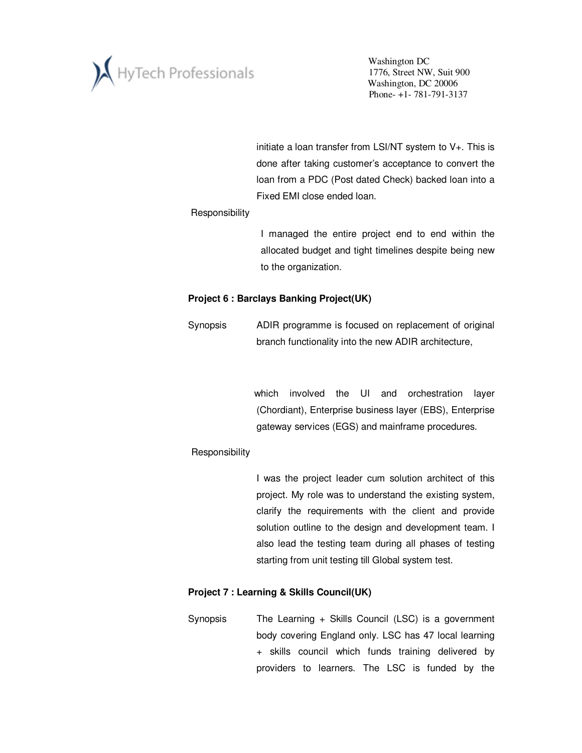

initiate a loan transfer from LSI/NT system to V+. This is done after taking customer's acceptance to convert the loan from a PDC (Post dated Check) backed loan into a Fixed EMI close ended loan.

#### **Responsibility**

I managed the entire project end to end within the allocated budget and tight timelines despite being new to the organization.

## **Project 6 : Barclays Banking Project(UK)**

Synopsis ADIR programme is focused on replacement of original branch functionality into the new ADIR architecture,

> which involved the UI and orchestration layer (Chordiant), Enterprise business layer (EBS), Enterprise gateway services (EGS) and mainframe procedures.

# **Responsibility**

I was the project leader cum solution architect of this project. My role was to understand the existing system, clarify the requirements with the client and provide solution outline to the design and development team. I also lead the testing team during all phases of testing starting from unit testing till Global system test.

## **Project 7 : Learning & Skills Council(UK)**

Synopsis The Learning + Skills Council (LSC) is a government body covering England only. LSC has 47 local learning + skills council which funds training delivered by providers to learners. The LSC is funded by the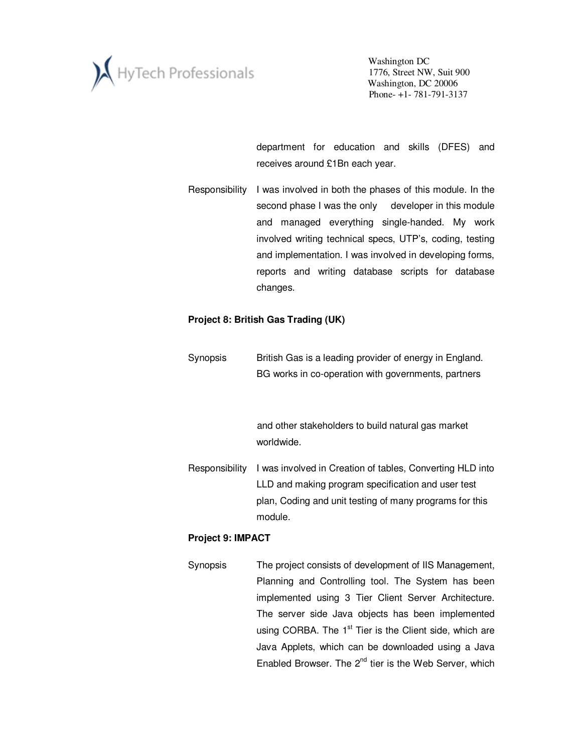

department for education and skills (DFES) and receives around £1Bn each year.

Responsibility I was involved in both the phases of this module. In the second phase I was the only developer in this module and managed everything single-handed. My work involved writing technical specs, UTP's, coding, testing and implementation. I was involved in developing forms, reports and writing database scripts for database changes.

### **Project 8: British Gas Trading (UK)**

Synopsis British Gas is a leading provider of energy in England. BG works in co-operation with governments, partners

> and other stakeholders to build natural gas market worldwide.

Responsibility I was involved in Creation of tables, Converting HLD into LLD and making program specification and user test plan, Coding and unit testing of many programs for this module.

#### **Project 9: IMPACT**

Synopsis The project consists of development of IIS Management, Planning and Controlling tool. The System has been implemented using 3 Tier Client Server Architecture. The server side Java objects has been implemented using CORBA. The  $1<sup>st</sup>$  Tier is the Client side, which are Java Applets, which can be downloaded using a Java Enabled Browser. The  $2^{nd}$  tier is the Web Server, which